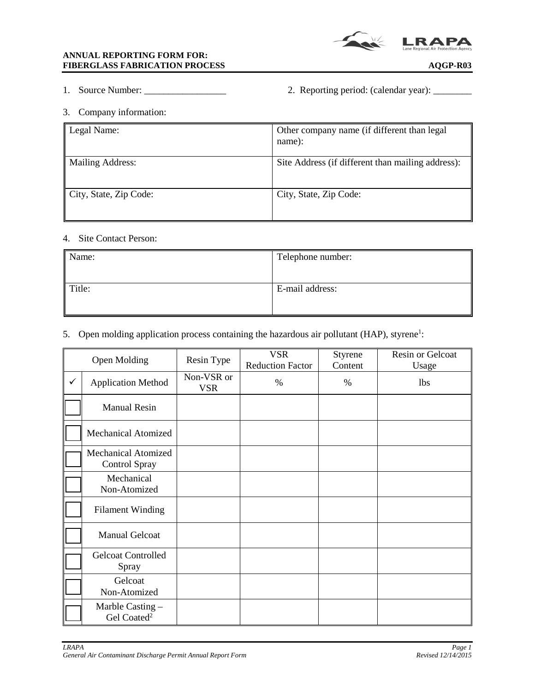

- 
- 1. Source Number: \_\_\_\_\_\_\_\_\_\_\_\_\_\_\_\_\_ 2. Reporting period: (calendar year): \_\_\_\_\_\_\_\_
- 3. Company information:

| Legal Name:            | Other company name (if different than legal<br>name): |
|------------------------|-------------------------------------------------------|
| Mailing Address:       | Site Address (if different than mailing address):     |
| City, State, Zip Code: | City, State, Zip Code:                                |

## 4. Site Contact Person:

| Name:  | Telephone number: |
|--------|-------------------|
| Title: | E-mail address:   |

## 5. Open molding application process containing the hazardous air pollutant (HAP), styrene<sup>1</sup>:

|              | <b>Open Molding</b>                         | Resin Type               | <b>VSR</b><br><b>Reduction Factor</b> | Styrene<br>Content | Resin or Gelcoat<br>Usage |
|--------------|---------------------------------------------|--------------------------|---------------------------------------|--------------------|---------------------------|
| $\checkmark$ | <b>Application Method</b>                   | Non-VSR or<br><b>VSR</b> | $\%$                                  | $\%$               | <b>lbs</b>                |
|              | <b>Manual Resin</b>                         |                          |                                       |                    |                           |
|              | <b>Mechanical Atomized</b>                  |                          |                                       |                    |                           |
|              | <b>Mechanical Atomized</b><br>Control Spray |                          |                                       |                    |                           |
|              | Mechanical<br>Non-Atomized                  |                          |                                       |                    |                           |
|              | <b>Filament Winding</b>                     |                          |                                       |                    |                           |
|              | <b>Manual Gelcoat</b>                       |                          |                                       |                    |                           |
|              | <b>Gelcoat Controlled</b><br>Spray          |                          |                                       |                    |                           |
|              | Gelcoat<br>Non-Atomized                     |                          |                                       |                    |                           |
|              | Marble Casting -<br>Gel Coated <sup>2</sup> |                          |                                       |                    |                           |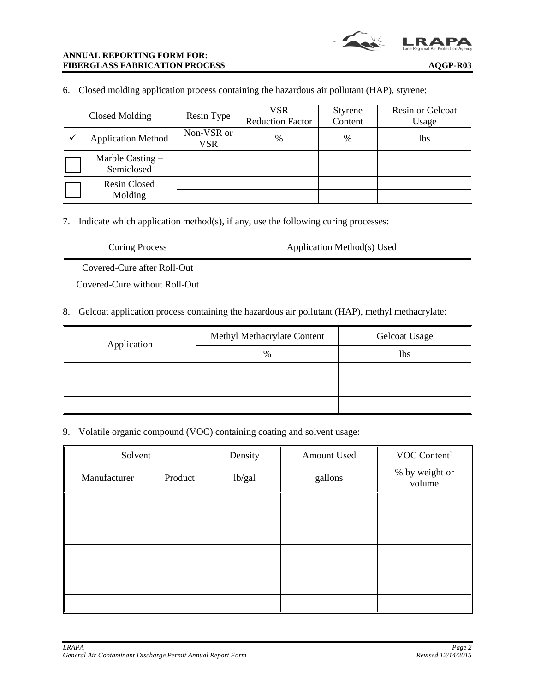6. Closed molding application process containing the hazardous air pollutant (HAP), styrene:

| Closed Molding                 | Resin Type               | VSR<br><b>Reduction Factor</b> | <b>Styrene</b><br>Content | Resin or Gelcoat<br>Usage |
|--------------------------------|--------------------------|--------------------------------|---------------------------|---------------------------|
| <b>Application Method</b>      | Non-VSR or<br><b>VSR</b> | $\frac{0}{0}$                  | %                         | 1bs                       |
| Marble Casting -<br>Semiclosed |                          |                                |                           |                           |
| <b>Resin Closed</b><br>Molding |                          |                                |                           |                           |

7. Indicate which application method(s), if any, use the following curing processes:

| <b>Curing Process</b>         | Application Method(s) Used |
|-------------------------------|----------------------------|
| Covered-Cure after Roll-Out   |                            |
| Covered-Cure without Roll-Out |                            |

8. Gelcoat application process containing the hazardous air pollutant (HAP), methyl methacrylate:

| Application | Methyl Methacrylate Content | <b>Gelcoat Usage</b> |
|-------------|-----------------------------|----------------------|
|             | %                           | lbs                  |
|             |                             |                      |
|             |                             |                      |
|             |                             |                      |

9. Volatile organic compound (VOC) containing coating and solvent usage:

| Solvent      |         | Density | Amount Used | VOC Content <sup>3</sup> |
|--------------|---------|---------|-------------|--------------------------|
| Manufacturer | Product | lb/gal  | gallons     | % by weight or<br>volume |
|              |         |         |             |                          |
|              |         |         |             |                          |
|              |         |         |             |                          |
|              |         |         |             |                          |
|              |         |         |             |                          |
|              |         |         |             |                          |
|              |         |         |             |                          |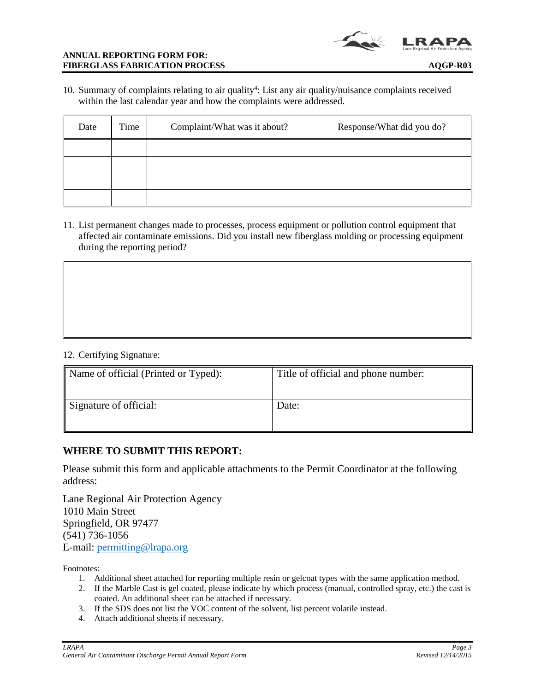

10. Summary of complaints relating to air quality<sup>4</sup>: List any air quality/nuisance complaints received within the last calendar year and how the complaints were addressed.

| Date | Complaint/What was it about?<br>Time |  | Response/What did you do? |
|------|--------------------------------------|--|---------------------------|
|      |                                      |  |                           |
|      |                                      |  |                           |
|      |                                      |  |                           |
|      |                                      |  |                           |

11. List permanent changes made to processes, process equipment or pollution control equipment that affected air contaminate emissions. Did you install new fiberglass molding or processing equipment during the reporting period?

## 12. Certifying Signature:

| Name of official (Printed or Typed): | Title of official and phone number: |
|--------------------------------------|-------------------------------------|
| Signature of official:               | Date:                               |

## **WHERE TO SUBMIT THIS REPORT:**

Please submit this form and applicable attachments to the Permit Coordinator at the following address:

Lane Regional Air Protection Agency 1010 Main Street Springfield, OR 97477 (541) 736-1056 E-mail: permitting[@lrapa.org](mailto:permitting@lrapa.org)

Footnotes:

- 1. Additional sheet attached for reporting multiple resin or gelcoat types with the same application method.
- 2. If the Marble Cast is gel coated, please indicate by which process (manual, controlled spray, etc.) the cast is coated. An additional sheet can be attached if necessary.
- 3. If the SDS does not list the VOC content of the solvent, list percent volatile instead.
- 4. Attach additional sheets if necessary.